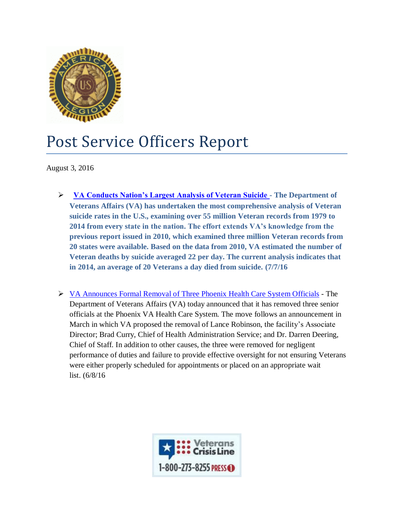

## Post Service Officers Report

August 3, 2016

- **[VA Conducts Nation's Largest Analysis of Veteran Suicide -](http://www.va.gov/opa/pressrel/pressrelease.cfm?id=2801) The Department of Veterans Affairs (VA) has undertaken the most comprehensive analysis of Veteran suicide rates in the U.S., examining over 55 million Veteran records from 1979 to 2014 from every state in the nation. The effort extends VA's knowledge from the previous report issued in 2010, which examined three million Veteran records from 20 states were available. Based on the data from 2010, VA estimated the number of Veteran deaths by suicide averaged 22 per day. The current analysis indicates that in 2014, an average of 20 Veterans a day died from suicide. (7/7/16**
- [VA Announces Formal Removal of Three Phoenix Health Care System Officials](http://www.va.gov/opa/pressrel/pressrelease.cfm?id=2797) The Department of Veterans Affairs (VA) today announced that it has removed three senior officials at the Phoenix VA Health Care System. The move follows an announcement in March in which VA proposed the removal of Lance Robinson, the facility's Associate Director; Brad Curry, Chief of Health Administration Service; and Dr. Darren Deering, Chief of Staff. In addition to other causes, the three were removed for negligent performance of duties and failure to provide effective oversight for not ensuring Veterans were either properly scheduled for appointments or placed on an appropriate wait list. (6/8/16